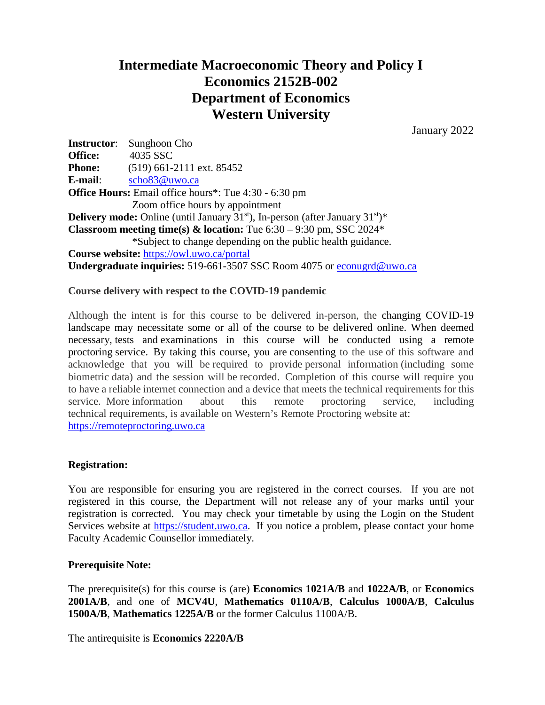# **Intermediate Macroeconomic Theory and Policy I Economics 2152B-002 Department of Economics Western University**

January 2022

**Instructor**: Sunghoon Cho **Office:** 4035 SSC **Phone:** (519) 661-2111 ext. 85452 **E-mail**: [scho83@uwo.ca](mailto:scho83@uwo.ca) **Office Hours:** Email office hours\*: Tue 4:30 - 6:30 pm Zoom office hours by appointment **Delivery mode:** Online (until January 31<sup>st</sup>), In-person (after January 31<sup>st</sup>)\* **Classroom meeting time(s) & location:** Tue 6:30 – 9:30 pm, SSC 2024\* \*Subject to change depending on the public health guidance. **Course website:** <https://owl.uwo.ca/portal> **Undergraduate inquiries:** 519-661-3507 SSC Room 4075 or [econugrd@uwo.ca](mailto:econugrd@uwo.ca)

## **Course delivery with respect to the COVID-19 pandemic**

Although the intent is for this course to be delivered in-person, the changing COVID-19 landscape may necessitate some or all of the course to be delivered online. When deemed necessary, tests and examinations in this course will be conducted using a remote proctoring service. By taking this course, you are consenting to the use of this software and acknowledge that you will be required to provide personal information (including some biometric data) and the session will be recorded. Completion of this course will require you to have a reliable internet connection and a device that meets the technical requirements for this service. More information about this remote proctoring service, including technical requirements, is available on Western's Remote Proctoring website at: [https://remoteproctoring.uwo.ca](https://remoteproctoring.uwo.ca/)

#### **Registration:**

You are responsible for ensuring you are registered in the correct courses. If you are not registered in this course, the Department will not release any of your marks until your registration is corrected. You may check your timetable by using the Login on the Student Services website at [https://student.uwo.ca.](https://student.uwo.ca/) If you notice a problem, please contact your home Faculty Academic Counsellor immediately.

#### **Prerequisite Note:**

The prerequisite(s) for this course is (are) **Economics 1021A/B** and **1022A/B**, or **Economics 2001A/B**, and one of **MCV4U**, **Mathematics 0110A/B**, **Calculus 1000A/B**, **Calculus 1500A/B**, **Mathematics 1225A/B** or the former Calculus 1100A/B.

The antirequisite is **Economics 2220A/B**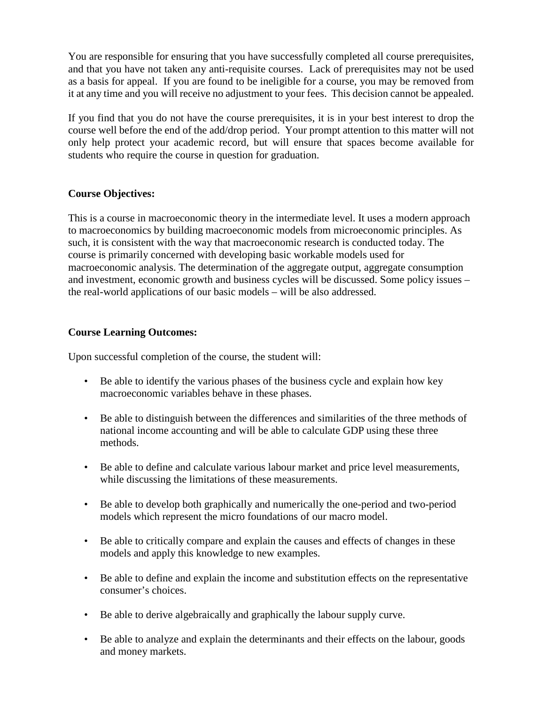You are responsible for ensuring that you have successfully completed all course prerequisites, and that you have not taken any anti-requisite courses. Lack of prerequisites may not be used as a basis for appeal. If you are found to be ineligible for a course, you may be removed from it at any time and you will receive no adjustment to your fees. This decision cannot be appealed.

If you find that you do not have the course prerequisites, it is in your best interest to drop the course well before the end of the add/drop period. Your prompt attention to this matter will not only help protect your academic record, but will ensure that spaces become available for students who require the course in question for graduation.

#### **Course Objectives:**

This is a course in macroeconomic theory in the intermediate level. It uses a modern approach to macroeconomics by building macroeconomic models from microeconomic principles. As such, it is consistent with the way that macroeconomic research is conducted today. The course is primarily concerned with developing basic workable models used for macroeconomic analysis. The determination of the aggregate output, aggregate consumption and investment, economic growth and business cycles will be discussed. Some policy issues – the real-world applications of our basic models – will be also addressed.

#### **Course Learning Outcomes:**

Upon successful completion of the course, the student will:

- Be able to identify the various phases of the business cycle and explain how key macroeconomic variables behave in these phases.
- Be able to distinguish between the differences and similarities of the three methods of national income accounting and will be able to calculate GDP using these three methods.
- Be able to define and calculate various labour market and price level measurements, while discussing the limitations of these measurements.
- Be able to develop both graphically and numerically the one-period and two-period models which represent the micro foundations of our macro model.
- Be able to critically compare and explain the causes and effects of changes in these models and apply this knowledge to new examples.
- Be able to define and explain the income and substitution effects on the representative consumer's choices.
- Be able to derive algebraically and graphically the labour supply curve.
- Be able to analyze and explain the determinants and their effects on the labour, goods and money markets.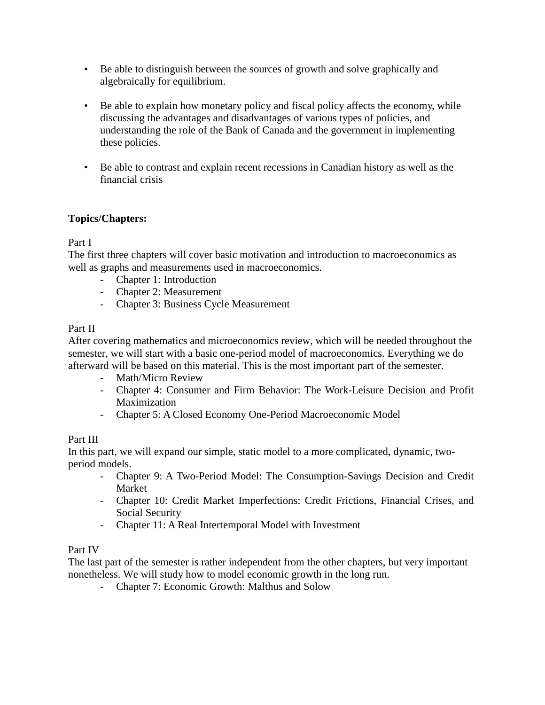- Be able to distinguish between the sources of growth and solve graphically and algebraically for equilibrium.
- Be able to explain how monetary policy and fiscal policy affects the economy, while discussing the advantages and disadvantages of various types of policies, and understanding the role of the Bank of Canada and the government in implementing these policies.
- Be able to contrast and explain recent recessions in Canadian history as well as the financial crisis

# **Topics/Chapters:**

## Part I

The first three chapters will cover basic motivation and introduction to macroeconomics as well as graphs and measurements used in macroeconomics.

- Chapter 1: Introduction
- Chapter 2: Measurement
- Chapter 3: Business Cycle Measurement

## Part II

After covering mathematics and microeconomics review, which will be needed throughout the semester, we will start with a basic one-period model of macroeconomics. Everything we do afterward will be based on this material. This is the most important part of the semester.

- Math/Micro Review
- Chapter 4: Consumer and Firm Behavior: The Work-Leisure Decision and Profit Maximization
- Chapter 5: A Closed Economy One-Period Macroeconomic Model

#### Part III

In this part, we will expand our simple, static model to a more complicated, dynamic, twoperiod models.

- Chapter 9: A Two-Period Model: The Consumption-Savings Decision and Credit Market
- Chapter 10: Credit Market Imperfections: Credit Frictions, Financial Crises, and Social Security
- Chapter 11: A Real Intertemporal Model with Investment

#### Part IV

The last part of the semester is rather independent from the other chapters, but very important nonetheless. We will study how to model economic growth in the long run.

- Chapter 7: Economic Growth: Malthus and Solow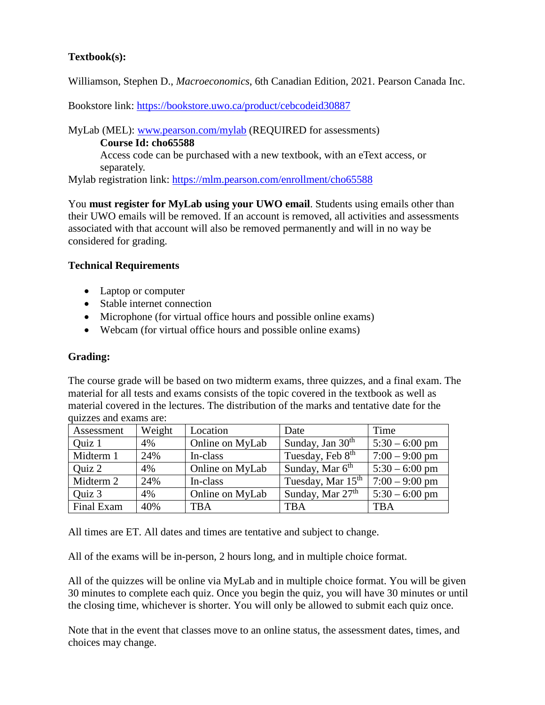# **Textbook(s):**

Williamson, Stephen D., *Macroeconomics*, 6th Canadian Edition, 2021. Pearson Canada Inc.

Bookstore link:<https://bookstore.uwo.ca/product/cebcodeid30887>

MyLab (MEL): [www.pearson.com/mylab](http://www.pearson.com/mylab) (REQUIRED for assessments)

**Course Id: cho65588**

Access code can be purchased with a new textbook, with an eText access, or separately.

Mylab registration link:<https://mlm.pearson.com/enrollment/cho65588>

You **must register for MyLab using your UWO email**. Students using emails other than their UWO emails will be removed. If an account is removed, all activities and assessments associated with that account will also be removed permanently and will in no way be considered for grading.

## **Technical Requirements**

- Laptop or computer
- Stable internet connection
- Microphone (for virtual office hours and possible online exams)
- Webcam (for virtual office hours and possible online exams)

# **Grading:**

The course grade will be based on two midterm exams, three quizzes, and a final exam. The material for all tests and exams consists of the topic covered in the textbook as well as material covered in the lectures. The distribution of the marks and tentative date for the quizzes and exams are:

| Assessment | Weight | Location        | Date                          | Time             |
|------------|--------|-----------------|-------------------------------|------------------|
| Quiz 1     | 4%     | Online on MyLab | Sunday, Jan $30th$            | $5:30 - 6:00$ pm |
| Midterm 1  | 24%    | In-class        | Tuesday, Feb 8 <sup>th</sup>  | $7:00 - 9:00$ pm |
| Quiz 2     | 4%     | Online on MyLab | Sunday, Mar 6 <sup>th</sup>   | $5:30 - 6:00$ pm |
| Midterm 2  | 24%    | In-class        | Tuesday, Mar 15 <sup>th</sup> | $7:00 - 9:00$ pm |
| Quiz 3     | 4%     | Online on MyLab | Sunday, Mar 27 <sup>th</sup>  | $5:30 - 6:00$ pm |
| Final Exam | 40%    | <b>TBA</b>      | TBA                           | <b>TBA</b>       |

All times are ET. All dates and times are tentative and subject to change.

All of the exams will be in-person, 2 hours long, and in multiple choice format.

All of the quizzes will be online via MyLab and in multiple choice format. You will be given 30 minutes to complete each quiz. Once you begin the quiz, you will have 30 minutes or until the closing time, whichever is shorter. You will only be allowed to submit each quiz once.

Note that in the event that classes move to an online status, the assessment dates, times, and choices may change.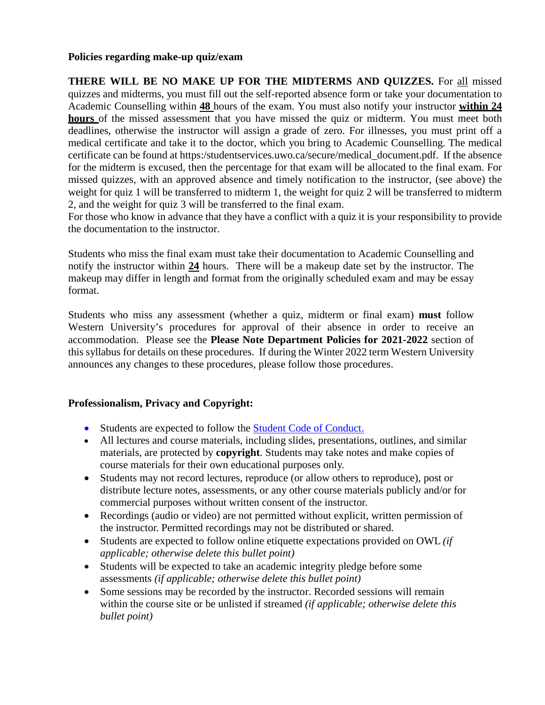#### **Policies regarding make-up quiz/exam**

**THERE WILL BE NO MAKE UP FOR THE MIDTERMS AND QUIZZES.** For all missed quizzes and midterms, you must fill out the self-reported absence form or take your documentation to Academic Counselling within **48** hours of the exam. You must also notify your instructor **within 24 hours** of the missed assessment that you have missed the quiz or midterm. You must meet both deadlines, otherwise the instructor will assign a grade of zero. For illnesses, you must print off a medical certificate and take it to the doctor, which you bring to Academic Counselling. The medical certificate can be found at https:/studentservices.uwo.ca/secure/medical\_document.pdf. If the absence for the midterm is excused, then the percentage for that exam will be allocated to the final exam. For missed quizzes, with an approved absence and timely notification to the instructor, (see above) the weight for quiz 1 will be transferred to midterm 1, the weight for quiz 2 will be transferred to midterm 2, and the weight for quiz 3 will be transferred to the final exam.

For those who know in advance that they have a conflict with a quiz it is your responsibility to provide the documentation to the instructor.

Students who miss the final exam must take their documentation to Academic Counselling and notify the instructor within **24** hours. There will be a makeup date set by the instructor. The makeup may differ in length and format from the originally scheduled exam and may be essay format.

Students who miss any assessment (whether a quiz, midterm or final exam) **must** follow Western University's procedures for approval of their absence in order to receive an accommodation. Please see the **Please Note Department Policies for 2021-2022** section of this syllabus for details on these procedures. If during the Winter 2022 term Western University announces any changes to these procedures, please follow those procedures.

# **Professionalism, Privacy and Copyright:**

- Students are expected to follow the [Student Code of Conduct.](https://www.uwo.ca/univsec/pdf/board/code.pdf)
- All lectures and course materials, including slides, presentations, outlines, and similar materials, are protected by **copyright**. Students may take notes and make copies of course materials for their own educational purposes only.
- Students may not record lectures, reproduce (or allow others to reproduce), post or distribute lecture notes, assessments, or any other course materials publicly and/or for commercial purposes without written consent of the instructor.
- Recordings (audio or video) are not permitted without explicit, written permission of the instructor. Permitted recordings may not be distributed or shared.
- Students are expected to follow online etiquette expectations provided on OWL *(if applicable; otherwise delete this bullet point)*
- Students will be expected to take an academic integrity pledge before some assessments *(if applicable; otherwise delete this bullet point)*
- Some sessions may be recorded by the instructor. Recorded sessions will remain within the course site or be unlisted if streamed *(if applicable; otherwise delete this bullet point)*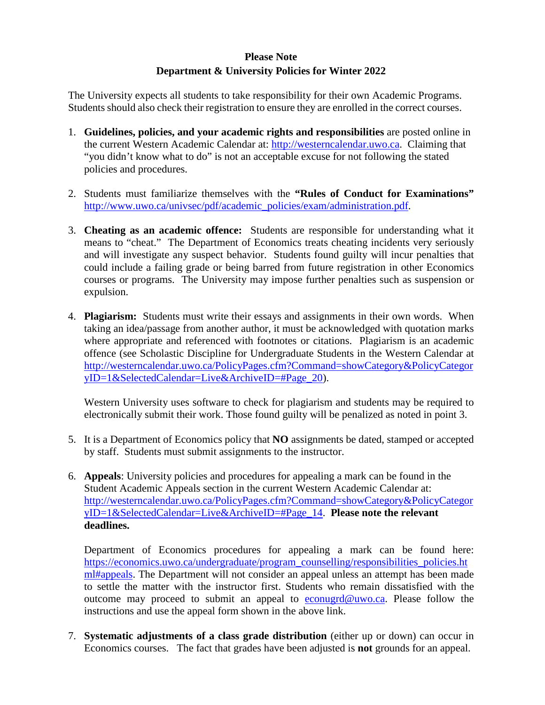# **Please Note Department & University Policies for Winter 2022**

The University expects all students to take responsibility for their own Academic Programs. Students should also check their registration to ensure they are enrolled in the correct courses.

- 1. **Guidelines, policies, and your academic rights and responsibilities** are posted online in the current Western Academic Calendar at: [http://westerncalendar.uwo.ca.](http://westerncalendar.uwo.ca/) Claiming that "you didn't know what to do" is not an acceptable excuse for not following the stated policies and procedures.
- 2. Students must familiarize themselves with the **"Rules of Conduct for Examinations"** [http://www.uwo.ca/univsec/pdf/academic\\_policies/exam/administration.pdf.](http://www.uwo.ca/univsec/pdf/academic_policies/exam/administration.pdf)
- 3. **Cheating as an academic offence:** Students are responsible for understanding what it means to "cheat." The Department of Economics treats cheating incidents very seriously and will investigate any suspect behavior. Students found guilty will incur penalties that could include a failing grade or being barred from future registration in other Economics courses or programs. The University may impose further penalties such as suspension or expulsion.
- 4. **Plagiarism:** Students must write their essays and assignments in their own words. When taking an idea/passage from another author, it must be acknowledged with quotation marks where appropriate and referenced with footnotes or citations. Plagiarism is an academic offence (see Scholastic Discipline for Undergraduate Students in the Western Calendar at [http://westerncalendar.uwo.ca/PolicyPages.cfm?Command=showCategory&PolicyCategor](http://westerncalendar.uwo.ca/PolicyPages.cfm?Command=showCategory&PolicyCategoryID=1&SelectedCalendar=Live&ArchiveID=#Page_20) [yID=1&SelectedCalendar=Live&ArchiveID=#Page\\_20\)](http://westerncalendar.uwo.ca/PolicyPages.cfm?Command=showCategory&PolicyCategoryID=1&SelectedCalendar=Live&ArchiveID=#Page_20).

Western University uses software to check for plagiarism and students may be required to electronically submit their work. Those found guilty will be penalized as noted in point 3.

- 5. It is a Department of Economics policy that **NO** assignments be dated, stamped or accepted by staff. Students must submit assignments to the instructor.
- 6. **Appeals**: University policies and procedures for appealing a mark can be found in the Student Academic Appeals section in the current Western Academic Calendar at: [http://westerncalendar.uwo.ca/PolicyPages.cfm?Command=showCategory&PolicyCategor](http://westerncalendar.uwo.ca/PolicyPages.cfm?Command=showCategory&PolicyCategoryID=1&SelectedCalendar=Live&ArchiveID=#Page_14) [yID=1&SelectedCalendar=Live&ArchiveID=#Page\\_14.](http://westerncalendar.uwo.ca/PolicyPages.cfm?Command=showCategory&PolicyCategoryID=1&SelectedCalendar=Live&ArchiveID=#Page_14) **Please note the relevant deadlines.**

Department of Economics procedures for appealing a mark can be found here: [https://economics.uwo.ca/undergraduate/program\\_counselling/responsibilities\\_policies.ht](https://economics.uwo.ca/undergraduate/program_counselling/responsibilities_policies.html#appeals) [ml#appeals.](https://economics.uwo.ca/undergraduate/program_counselling/responsibilities_policies.html#appeals) The Department will not consider an appeal unless an attempt has been made to settle the matter with the instructor first. Students who remain dissatisfied with the outcome may proceed to submit an appeal to [econugrd@uwo.ca.](mailto:econugrd@uwo.ca) Please follow the instructions and use the appeal form shown in the above link.

7. **Systematic adjustments of a class grade distribution** (either up or down) can occur in Economics courses. The fact that grades have been adjusted is **not** grounds for an appeal.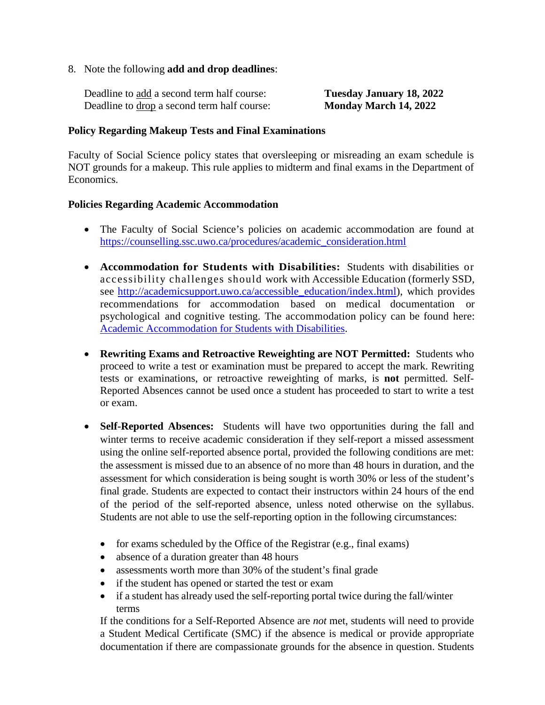8. Note the following **add and drop deadlines**:

| Deadline to add a second term half course:  | Tuesday January 18, 2022 |
|---------------------------------------------|--------------------------|
| Deadline to drop a second term half course: | Monday March 14, 2022    |

#### **Policy Regarding Makeup Tests and Final Examinations**

Faculty of Social Science policy states that oversleeping or misreading an exam schedule is NOT grounds for a makeup. This rule applies to midterm and final exams in the Department of Economics.

## **Policies Regarding Academic Accommodation**

- The Faculty of Social Science's policies on academic accommodation are found at [https://counselling.ssc.uwo.ca/procedures/academic\\_consideration.html](https://counselling.ssc.uwo.ca/procedures/academic_consideration.html)
- **Accommodation for Students with Disabilities:** Students with disabilities or accessibility challenges should work with Accessible Education (formerly SSD, see [http://academicsupport.uwo.ca/accessible\\_education/index.html\)](http://academicsupport.uwo.ca/accessible_education/index.html), which provides recommendations for accommodation based on medical documentation or psychological and cognitive testing. The accommodation policy can be found here: [Academic Accommodation for Students with Disabilities.](https://www.uwo.ca/univsec/pdf/academic_policies/appeals/Academic%20Accommodation_disabilities.pdf)
- **Rewriting Exams and Retroactive Reweighting are NOT Permitted:** Students who proceed to write a test or examination must be prepared to accept the mark. Rewriting tests or examinations, or retroactive reweighting of marks, is **not** permitted. Self-Reported Absences cannot be used once a student has proceeded to start to write a test or exam.
- **Self-Reported Absences:** Students will have two opportunities during the fall and winter terms to receive academic consideration if they self-report a missed assessment using the online self-reported absence portal, provided the following conditions are met: the assessment is missed due to an absence of no more than 48 hours in duration, and the assessment for which consideration is being sought is worth 30% or less of the student's final grade. Students are expected to contact their instructors within 24 hours of the end of the period of the self-reported absence, unless noted otherwise on the syllabus. Students are not able to use the self-reporting option in the following circumstances:
	- for exams scheduled by the Office of the Registrar (e.g., final exams)
	- absence of a duration greater than 48 hours
	- assessments worth more than 30% of the student's final grade
	- if the student has opened or started the test or exam
	- if a student has already used the self-reporting portal twice during the fall/winter terms

If the conditions for a Self-Reported Absence are *not* met, students will need to provide a Student Medical Certificate (SMC) if the absence is medical or provide appropriate documentation if there are compassionate grounds for the absence in question. Students